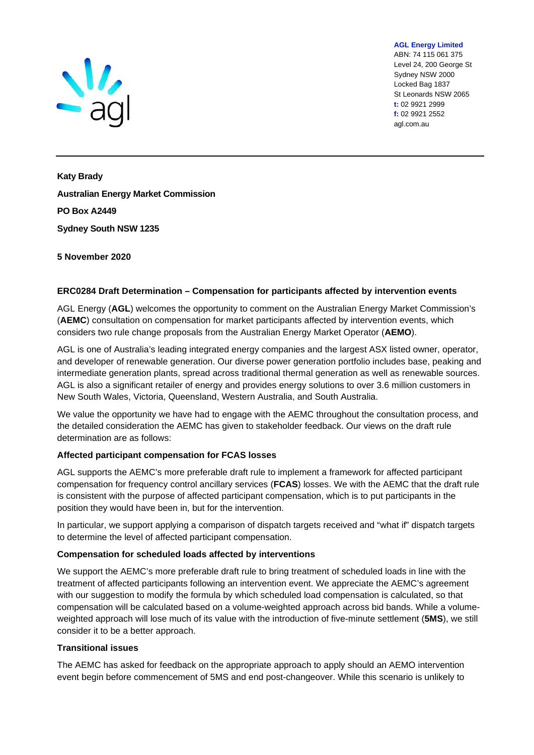

**AGL Energy Limited**  ABN: 74 115 061 375 Level 24, 200 George St Sydney NSW 2000 Locked Bag 1837 St Leonards NSW 2065 **t:** 02 9921 2999 **f:** 02 9921 2552 agl.com.au

**Katy Brady Australian Energy Market Commission PO Box A2449 Sydney South NSW 1235**

# **5 November 2020**

## **ERC0284 Draft Determination – Compensation for participants affected by intervention events**

AGL Energy (**AGL**) welcomes the opportunity to comment on the Australian Energy Market Commission's (**AEMC**) consultation on compensation for market participants affected by intervention events, which considers two rule change proposals from the Australian Energy Market Operator (**AEMO**).

AGL is one of Australia's leading integrated energy companies and the largest ASX listed owner, operator, and developer of renewable generation. Our diverse power generation portfolio includes base, peaking and intermediate generation plants, spread across traditional thermal generation as well as renewable sources. AGL is also a significant retailer of energy and provides energy solutions to over 3.6 million customers in New South Wales, Victoria, Queensland, Western Australia, and South Australia.

We value the opportunity we have had to engage with the AEMC throughout the consultation process, and the detailed consideration the AEMC has given to stakeholder feedback. Our views on the draft rule determination are as follows:

### **Affected participant compensation for FCAS losses**

AGL supports the AEMC's more preferable draft rule to implement a framework for affected participant compensation for frequency control ancillary services (**FCAS**) losses. We with the AEMC that the draft rule is consistent with the purpose of affected participant compensation, which is to put participants in the position they would have been in, but for the intervention.

In particular, we support applying a comparison of dispatch targets received and "what if" dispatch targets to determine the level of affected participant compensation.

### **Compensation for scheduled loads affected by interventions**

We support the AEMC's more preferable draft rule to bring treatment of scheduled loads in line with the treatment of affected participants following an intervention event. We appreciate the AEMC's agreement with our suggestion to modify the formula by which scheduled load compensation is calculated, so that compensation will be calculated based on a volume-weighted approach across bid bands. While a volumeweighted approach will lose much of its value with the introduction of five-minute settlement (**5MS**), we still consider it to be a better approach.

### **Transitional issues**

The AEMC has asked for feedback on the appropriate approach to apply should an AEMO intervention event begin before commencement of 5MS and end post-changeover. While this scenario is unlikely to